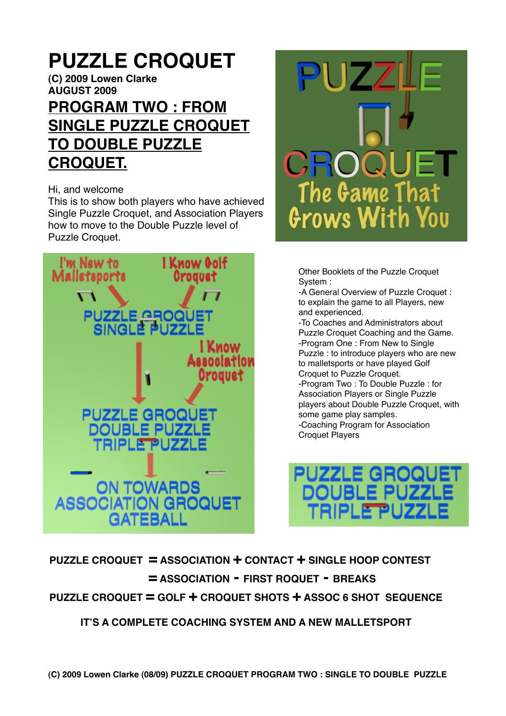# **PUZZLE CROQUET**

**(C) 2009 Lowen Clarke AUGUST 2009**

## **PROGRAM TWO : FROM SINGLE PUZZLE CROQUET TO DOUBLE PUZZLE CROQUET.**

#### Hi, and welcome

This is to show both players who have achieved Single Puzzle Croquet, and Association Players how to move to the Double Puzzle level of Puzzle Croquet.





Other Booklets of the Puzzle Croquet System :

-A General Overview of Puzzle Croquet : to explain the game to all Players, new and experienced.

-To Coaches and Administrators about Puzzle Croquet Coaching and the Game. -Program One : From New to Single Puzzle : to introduce players who are new to malletsports or have played Golf Croquet to Puzzle Croquet. -Program Two : To Double Puzzle : for Association Players or Single Puzzle players about Double Puzzle Croquet, with some game play samples. -Coaching Program for Association Croquet Players



**PUZZLE CROQUET = ASSOCIATION + CONTACT + SINGLE HOOP CONTEST 
= ASSOCIATION - FIRST ROQUET - BREAKS PUZZLE CROQUET = GOLF + CROQUET SHOTS + ASSOC 6 SHOT SEQUENCE**

 **IT'S A COMPLETE COACHING SYSTEM AND A NEW MALLETSPORT**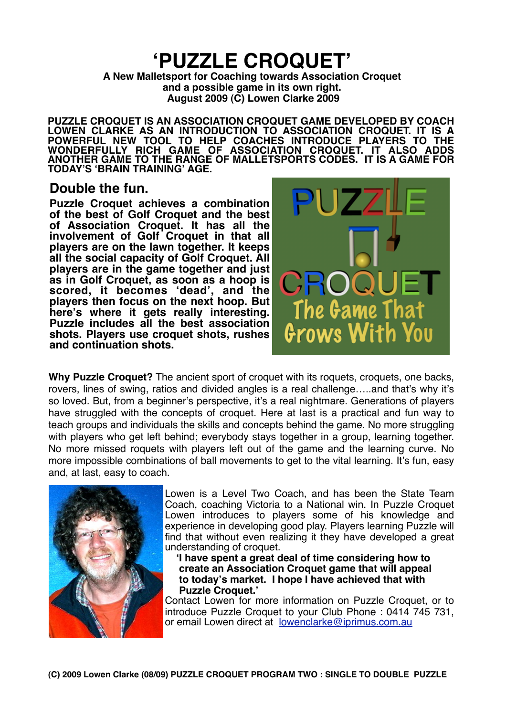## **ʻPUZZLE CROQUET'**

**A New Malletsport for Coaching towards Association Croquet and a possible game in its own right. August 2009 (C) Lowen Clarke 2009**

**PUZZLE CROQUET IS AN ASSOCIATION CROQUET GAME DEVELOPED BY COACH LOWEN CLARKE AS AN INTRODUCTION TO ASSOCIATION CROQUET. IT IS A POWERFUL NEW TOOL TO HELP COACHES INTRODUCE PLAYERS TO THE WONDERFULLY RICH GAME OF ASSOCIATION CROQUET. IT ALSO ADDS ANOTHER GAME TO THE RANGE OF MALLETSPORTS CODES. IT IS A GAME FOR TODAY'S ʻBRAIN TRAINING' AGE.**

## **Double the fun.**

**Puzzle Croquet achieves a combination of the best of Golf Croquet and the best of Association Croquet. It has all the involvement of Golf Croquet in that all players are on the lawn together. It keeps all the social capacity of Golf Croquet. All players are in the game together and just as in Golf Croquet, as soon as a hoop is scored, it becomes ʻdead', and the players then focus on the next hoop. But here's where it gets really interesting. Puzzle includes all the best association shots. Players use croquet shots, rushes and continuation shots.** 



**Why Puzzle Croquet?** The ancient sport of croquet with its roquets, croquets, one backs, rovers, lines of swing, ratios and divided angles is a real challenge…..and that's why it's so loved. But, from a beginner's perspective, it's a real nightmare. Generations of players have struggled with the concepts of croquet. Here at last is a practical and fun way to teach groups and individuals the skills and concepts behind the game. No more struggling with players who get left behind; everybody stays together in a group, learning together. No more missed roquets with players left out of the game and the learning curve. No more impossible combinations of ball movements to get to the vital learning. It's fun, easy and, at last, easy to coach.



Lowen is a Level Two Coach, and has been the State Team Coach, coaching Victoria to a National win. In Puzzle Croquet Lowen introduces to players some of his knowledge and experience in developing good play. Players learning Puzzle will find that without even realizing it they have developed a great understanding of croquet.

 **ʻI have spent a great deal of time considering how to create an Association Croquet game that will appeal to today's market. I hope I have achieved that with Puzzle Croquet.'**

Contact Lowen for more information on Puzzle Croquet, or to introduce Puzzle Croquet to your Club Phone : 0414 745 731, or email Lowen direct at [lowenclarke@iprimus.com.au](mailto:lowenclarke@iprimus.com.au)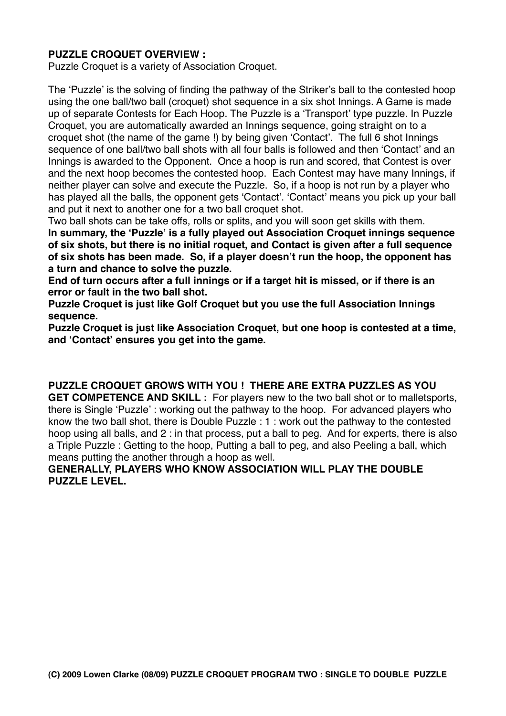### **PUZZLE CROQUET OVERVIEW :**

Puzzle Croquet is a variety of Association Croquet.

The ʻPuzzle' is the solving of finding the pathway of the Striker's ball to the contested hoop using the one ball/two ball (croquet) shot sequence in a six shot Innings. A Game is made up of separate Contests for Each Hoop. The Puzzle is a ʻTransport' type puzzle. In Puzzle Croquet, you are automatically awarded an Innings sequence, going straight on to a croquet shot (the name of the game !) by being given ʻContact'. The full 6 shot Innings sequence of one ball/two ball shots with all four balls is followed and then ʻContact' and an Innings is awarded to the Opponent. Once a hoop is run and scored, that Contest is over and the next hoop becomes the contested hoop. Each Contest may have many Innings, if neither player can solve and execute the Puzzle. So, if a hoop is not run by a player who has played all the balls, the opponent gets ʻContact'. ʻContact' means you pick up your ball and put it next to another one for a two ball croquet shot.

Two ball shots can be take offs, rolls or splits, and you will soon get skills with them. **In summary, the ʻPuzzle' is a fully played out Association Croquet innings sequence of six shots, but there is no initial roquet, and Contact is given after a full sequence of six shots has been made. So, if a player doesn't run the hoop, the opponent has a turn and chance to solve the puzzle.**

**End of turn occurs after a full innings or if a target hit is missed, or if there is an error or fault in the two ball shot.**

**Puzzle Croquet is just like Golf Croquet but you use the full Association Innings sequence.**

**Puzzle Croquet is just like Association Croquet, but one hoop is contested at a time, and ʻContact' ensures you get into the game.**

**PUZZLE CROQUET GROWS WITH YOU ! THERE ARE EXTRA PUZZLES AS YOU** 

**GET COMPETENCE AND SKILL :** For players new to the two ball shot or to malletsports, there is Single ʻPuzzle' : working out the pathway to the hoop. For advanced players who know the two ball shot, there is Double Puzzle : 1 : work out the pathway to the contested hoop using all balls, and 2 : in that process, put a ball to peg. And for experts, there is also a Triple Puzzle : Getting to the hoop, Putting a ball to peg, and also Peeling a ball, which means putting the another through a hoop as well.

#### **GENERALLY, PLAYERS WHO KNOW ASSOCIATION WILL PLAY THE DOUBLE PUZZLE LEVEL.**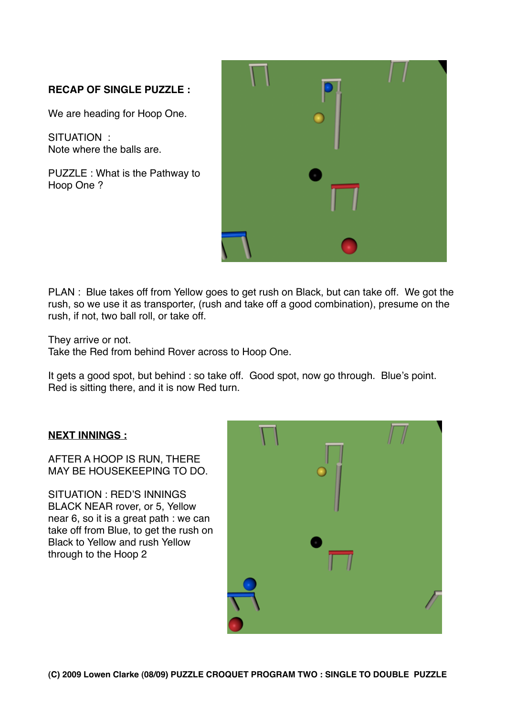## **RECAP OF SINGLE PUZZLE :**

We are heading for Hoop One.

SITUATION : Note where the balls are.

PUZZLE : What is the Pathway to Hoop One ?

| $\alpha$ |  |
|----------|--|
| ٠        |  |

PLAN : Blue takes off from Yellow goes to get rush on Black, but can take off. We got the rush, so we use it as transporter, (rush and take off a good combination), presume on the rush, if not, two ball roll, or take off.

They arrive or not.

Take the Red from behind Rover across to Hoop One.

It gets a good spot, but behind : so take off. Good spot, now go through. Blue's point. Red is sitting there, and it is now Red turn.

#### **NEXT INNINGS :**

AFTER A HOOP IS RUN, THERE MAY BE HOUSEKEEPING TO DO.

SITUATION : RED'S INNINGS BLACK NEAR rover, or 5, Yellow near 6, so it is a great path : we can take off from Blue, to get the rush on Black to Yellow and rush Yellow through to the Hoop 2

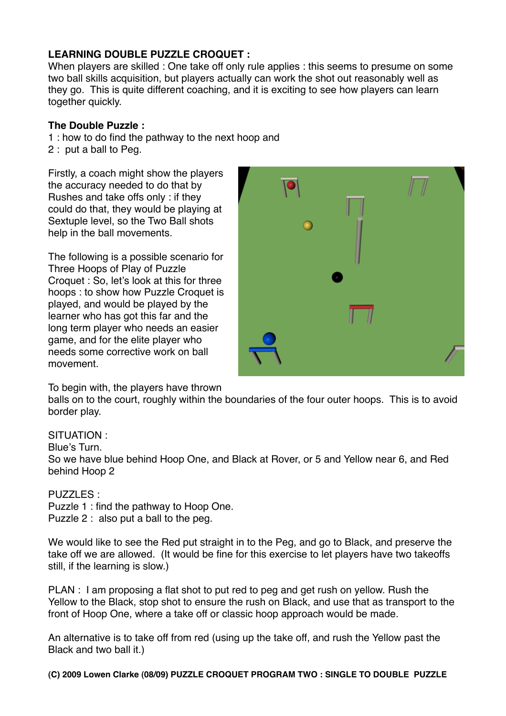### **LEARNING DOUBLE PUZZLE CROQUET :**

When players are skilled : One take off only rule applies : this seems to presume on some two ball skills acquisition, but players actually can work the shot out reasonably well as they go. This is quite different coaching, and it is exciting to see how players can learn together quickly.

#### **The Double Puzzle :**

1 : how to do find the pathway to the next hoop and

2 : put a ball to Peg.

Firstly, a coach might show the players the accuracy needed to do that by Rushes and take offs only : if they could do that, they would be playing at Sextuple level, so the Two Ball shots help in the ball movements.

The following is a possible scenario for Three Hoops of Play of Puzzle Croquet : So, let's look at this for three hoops : to show how Puzzle Croquet is played, and would be played by the learner who has got this far and the long term player who needs an easier game, and for the elite player who needs some corrective work on ball movement.



#### To begin with, the players have thrown

balls on to the court, roughly within the boundaries of the four outer hoops. This is to avoid border play.

#### SITUATION :

Blue's Turn.

So we have blue behind Hoop One, and Black at Rover, or 5 and Yellow near 6, and Red behind Hoop 2

#### PUZZLES :

Puzzle 1 : find the pathway to Hoop One.

Puzzle 2 : also put a ball to the peg.

We would like to see the Red put straight in to the Peg, and go to Black, and preserve the take off we are allowed. (It would be fine for this exercise to let players have two takeoffs still, if the learning is slow.)

PLAN : I am proposing a flat shot to put red to peg and get rush on yellow. Rush the Yellow to the Black, stop shot to ensure the rush on Black, and use that as transport to the front of Hoop One, where a take off or classic hoop approach would be made.

An alternative is to take off from red (using up the take off, and rush the Yellow past the Black and two ball it.)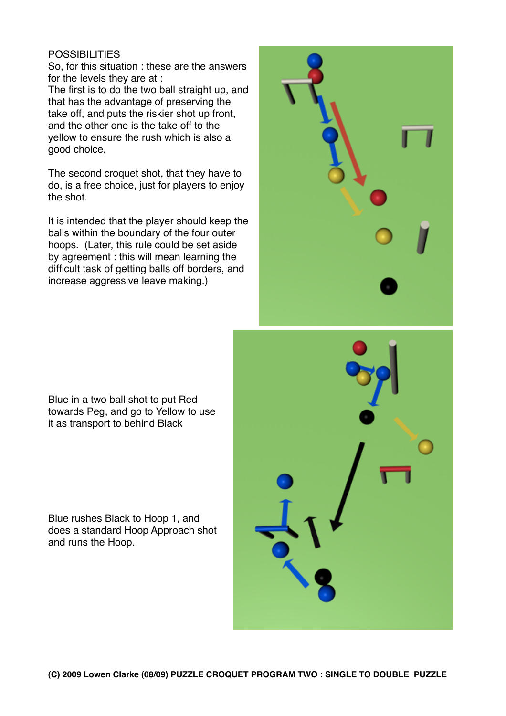#### **POSSIBILITIES**

So, for this situation : these are the answers for the levels they are at :

The first is to do the two ball straight up, and that has the advantage of preserving the take off, and puts the riskier shot up front, and the other one is the take off to the yellow to ensure the rush which is also a good choice,

The second croquet shot, that they have to do, is a free choice, just for players to enjoy the shot.

It is intended that the player should keep the balls within the boundary of the four outer hoops. (Later, this rule could be set aside by agreement : this will mean learning the difficult task of getting balls off borders, and increase aggressive leave making.)



Blue in a two ball shot to put Red towards Peg, and go to Yellow to use it as transport to behind Black

Blue rushes Black to Hoop 1, and does a standard Hoop Approach shot and runs the Hoop.

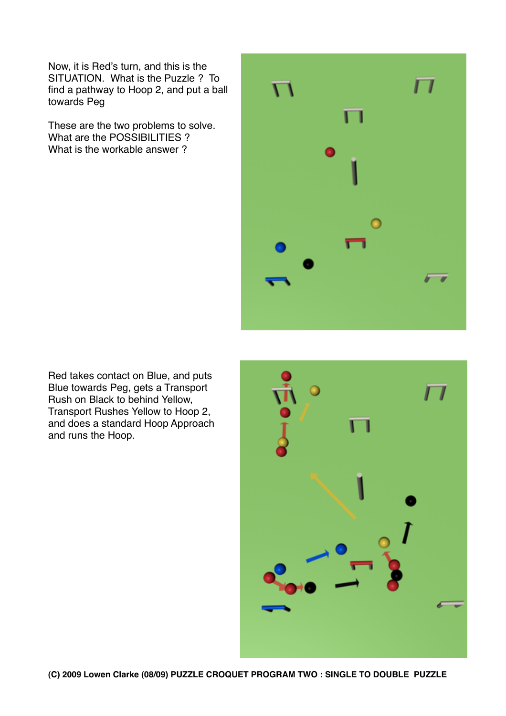Now, it is Red's turn, and this is the SITUATION. What is the Puzzle ? To find a pathway to Hoop 2, and put a ball towards Peg

These are the two problems to solve. What are the POSSIBILITIES ? What is the workable answer ?



Red takes contact on Blue, and puts Blue towards Peg, gets a Transport Rush on Black to behind Yellow, Transport Rushes Yellow to Hoop 2, and does a standard Hoop Approach and runs the Hoop.